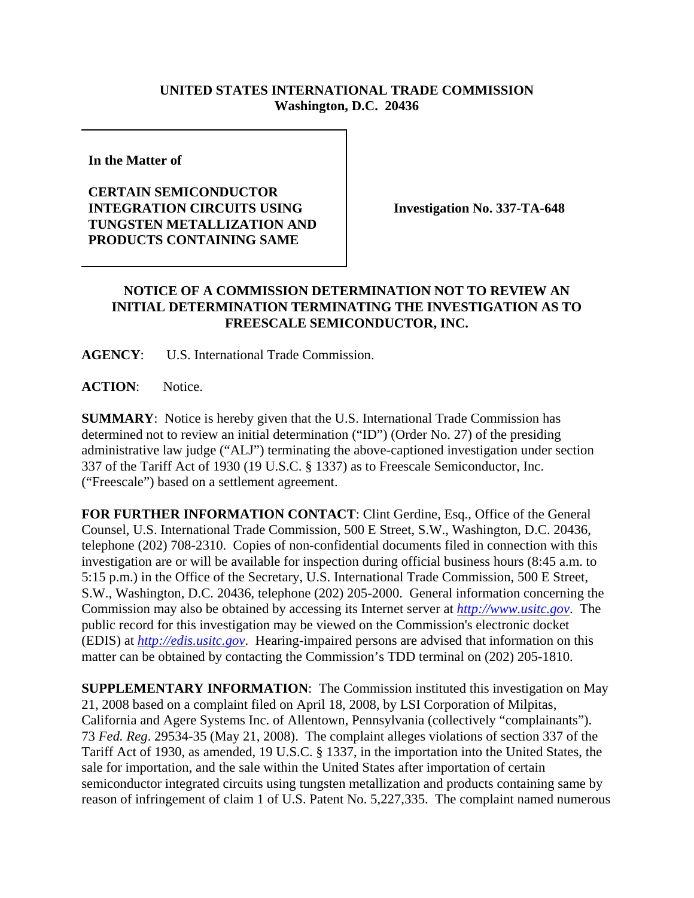## **UNITED STATES INTERNATIONAL TRADE COMMISSION Washington, D.C. 20436**

**In the Matter of** 

## **CERTAIN SEMICONDUCTOR INTEGRATION CIRCUITS USING TUNGSTEN METALLIZATION AND PRODUCTS CONTAINING SAME**

**Investigation No. 337-TA-648**

## **NOTICE OF A COMMISSION DETERMINATION NOT TO REVIEW AN INITIAL DETERMINATION TERMINATING THE INVESTIGATION AS TO FREESCALE SEMICONDUCTOR, INC.**

**AGENCY**: U.S. International Trade Commission.

**ACTION**: Notice.

**SUMMARY**: Notice is hereby given that the U.S. International Trade Commission has determined not to review an initial determination ("ID") (Order No. 27) of the presiding administrative law judge ("ALJ") terminating the above-captioned investigation under section 337 of the Tariff Act of 1930 (19 U.S.C. § 1337) as to Freescale Semiconductor, Inc. ("Freescale") based on a settlement agreement.

**FOR FURTHER INFORMATION CONTACT**: Clint Gerdine, Esq., Office of the General Counsel, U.S. International Trade Commission, 500 E Street, S.W., Washington, D.C. 20436, telephone (202) 708-2310. Copies of non-confidential documents filed in connection with this investigation are or will be available for inspection during official business hours (8:45 a.m. to 5:15 p.m.) in the Office of the Secretary, U.S. International Trade Commission, 500 E Street, S.W., Washington, D.C. 20436, telephone (202) 205-2000. General information concerning the Commission may also be obtained by accessing its Internet server at *http://www.usitc.gov*. The public record for this investigation may be viewed on the Commission's electronic docket (EDIS) at *http://edis.usitc.gov*. Hearing-impaired persons are advised that information on this matter can be obtained by contacting the Commission's TDD terminal on (202) 205-1810.

**SUPPLEMENTARY INFORMATION**: The Commission instituted this investigation on May 21, 2008 based on a complaint filed on April 18, 2008, by LSI Corporation of Milpitas, California and Agere Systems Inc. of Allentown, Pennsylvania (collectively "complainants"). 73 *Fed. Reg*. 29534-35 (May 21, 2008). The complaint alleges violations of section 337 of the Tariff Act of 1930, as amended, 19 U.S.C. § 1337, in the importation into the United States, the sale for importation, and the sale within the United States after importation of certain semiconductor integrated circuits using tungsten metallization and products containing same by reason of infringement of claim 1 of U.S. Patent No. 5,227,335. The complaint named numerous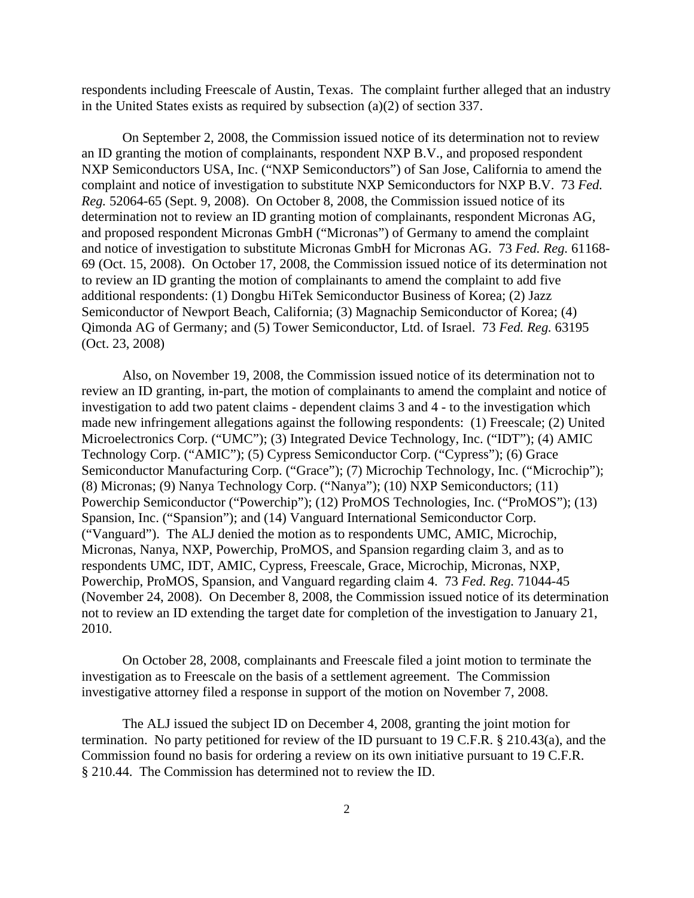respondents including Freescale of Austin, Texas. The complaint further alleged that an industry in the United States exists as required by subsection (a)(2) of section 337.

On September 2, 2008, the Commission issued notice of its determination not to review an ID granting the motion of complainants, respondent NXP B.V., and proposed respondent NXP Semiconductors USA, Inc. ("NXP Semiconductors") of San Jose, California to amend the complaint and notice of investigation to substitute NXP Semiconductors for NXP B.V. 73 *Fed. Reg.* 52064-65 (Sept. 9, 2008). On October 8, 2008, the Commission issued notice of its determination not to review an ID granting motion of complainants, respondent Micronas AG, and proposed respondent Micronas GmbH ("Micronas") of Germany to amend the complaint and notice of investigation to substitute Micronas GmbH for Micronas AG. 73 *Fed. Reg.* 61168- 69 (Oct. 15, 2008). On October 17, 2008, the Commission issued notice of its determination not to review an ID granting the motion of complainants to amend the complaint to add five additional respondents: (1) Dongbu HiTek Semiconductor Business of Korea; (2) Jazz Semiconductor of Newport Beach, California; (3) Magnachip Semiconductor of Korea; (4) Qimonda AG of Germany; and (5) Tower Semiconductor, Ltd. of Israel. 73 *Fed. Reg.* 63195 (Oct. 23, 2008)

Also, on November 19, 2008, the Commission issued notice of its determination not to review an ID granting, in-part, the motion of complainants to amend the complaint and notice of investigation to add two patent claims - dependent claims 3 and 4 - to the investigation which made new infringement allegations against the following respondents: (1) Freescale; (2) United Microelectronics Corp. ("UMC"); (3) Integrated Device Technology, Inc. ("IDT"); (4) AMIC Technology Corp. ("AMIC"); (5) Cypress Semiconductor Corp. ("Cypress"); (6) Grace Semiconductor Manufacturing Corp. ("Grace"); (7) Microchip Technology, Inc. ("Microchip"); (8) Micronas; (9) Nanya Technology Corp. ("Nanya"); (10) NXP Semiconductors; (11) Powerchip Semiconductor ("Powerchip"); (12) ProMOS Technologies, Inc. ("ProMOS"); (13) Spansion, Inc. ("Spansion"); and (14) Vanguard International Semiconductor Corp. ("Vanguard"). The ALJ denied the motion as to respondents UMC, AMIC, Microchip, Micronas, Nanya, NXP, Powerchip, ProMOS, and Spansion regarding claim 3, and as to respondents UMC, IDT, AMIC, Cypress, Freescale, Grace, Microchip, Micronas, NXP, Powerchip, ProMOS, Spansion, and Vanguard regarding claim 4. 73 *Fed. Reg.* 71044-45 (November 24, 2008). On December 8, 2008, the Commission issued notice of its determination not to review an ID extending the target date for completion of the investigation to January 21, 2010.

On October 28, 2008, complainants and Freescale filed a joint motion to terminate the investigation as to Freescale on the basis of a settlement agreement. The Commission investigative attorney filed a response in support of the motion on November 7, 2008.

The ALJ issued the subject ID on December 4, 2008, granting the joint motion for termination. No party petitioned for review of the ID pursuant to 19 C.F.R. § 210.43(a), and the Commission found no basis for ordering a review on its own initiative pursuant to 19 C.F.R. § 210.44. The Commission has determined not to review the ID.